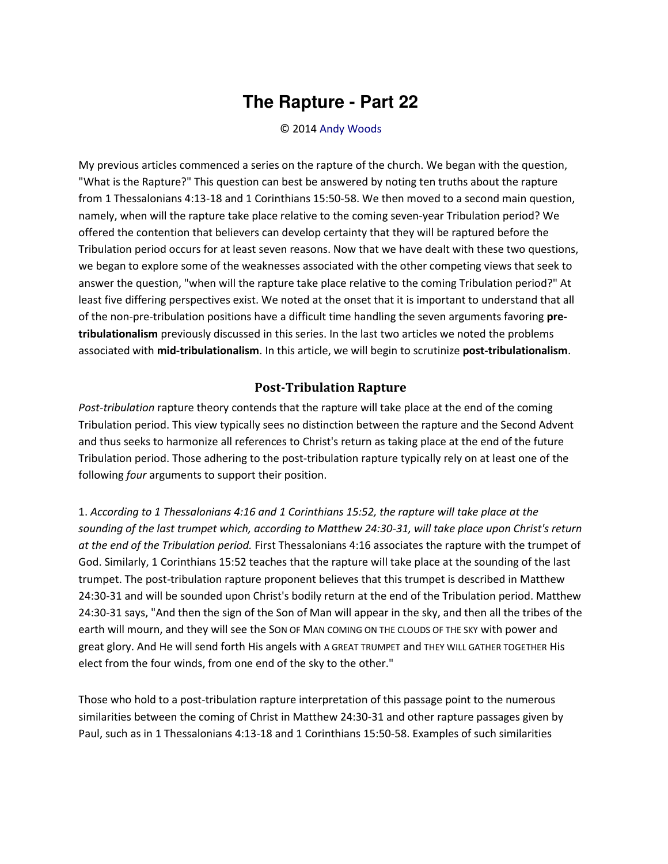## **The Rapture - Part 22**

## © 2014 [Andy Woods](http://www.spiritandtruth.org/id/aw.htm)

My previous articles commenced a series on the rapture of the church. We began with the question, "What is the Rapture?" This question can best be answered by noting ten truths about the rapture from 1 Thessalonians 4:13-18 and 1 Corinthians 15:50-58. We then moved to a second main question, namely, when will the rapture take place relative to the coming seven-year Tribulation period? We offered the contention that believers can develop certainty that they will be raptured before the Tribulation period occurs for at least seven reasons. Now that we have dealt with these two questions, we began to explore some of the weaknesses associated with the other competing views that seek to answer the question, "when will the rapture take place relative to the coming Tribulation period?" At least five differing perspectives exist. We noted at the onset that it is important to understand that all of the non-pre-tribulation positions have a difficult time handling the seven arguments favoring **pretribulationalism** previously discussed in this series. In the last two articles we noted the problems associated with **mid-tribulationalism**. In this article, we will begin to scrutinize **post-tribulationalism**.

## **Post-Tribulation Rapture**

*Post-tribulation* rapture theory contends that the rapture will take place at the end of the coming Tribulation period. This view typically sees no distinction between the rapture and the Second Advent and thus seeks to harmonize all references to Christ's return as taking place at the end of the future Tribulation period. Those adhering to the post-tribulation rapture typically rely on at least one of the following *four* arguments to support their position.

1. *According to 1 Thessalonians 4:16 and 1 Corinthians 15:52, the rapture will take place at the sounding of the last trumpet which, according to Matthew 24:30-31, will take place upon Christ's return at the end of the Tribulation period.* First Thessalonians 4:16 associates the rapture with the trumpet of God. Similarly, 1 Corinthians 15:52 teaches that the rapture will take place at the sounding of the last trumpet. The post-tribulation rapture proponent believes that this trumpet is described in Matthew 24:30-31 and will be sounded upon Christ's bodily return at the end of the Tribulation period. Matthew 24:30-31 says, "And then the sign of the Son of Man will appear in the sky, and then all the tribes of the earth will mourn, and they will see the SON OF MAN COMING ON THE CLOUDS OF THE SKY with power and great glory. And He will send forth His angels with A GREAT TRUMPET and THEY WILL GATHER TOGETHER His elect from the four winds, from one end of the sky to the other."

Those who hold to a post-tribulation rapture interpretation of this passage point to the numerous similarities between the coming of Christ in Matthew 24:30-31 and other rapture passages given by Paul, such as in 1 Thessalonians 4:13-18 and 1 Corinthians 15:50-58. Examples of such similarities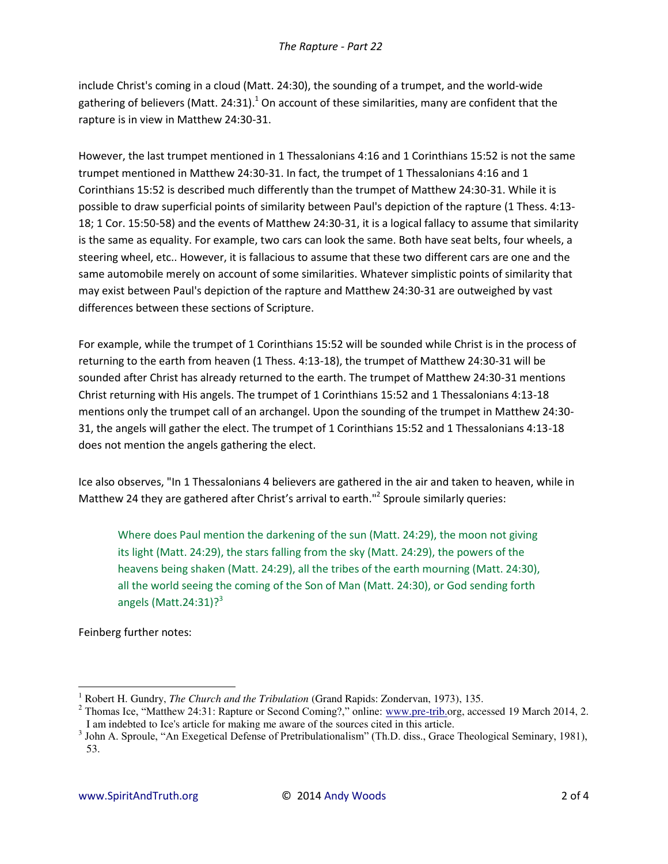include Christ's coming in a cloud (Matt. 24:30), the sounding of a trumpet, and the world-wide gathering of believers (Matt. 24:31).<sup>1</sup> On account of these similarities, many are confident that the rapture is in view in Matthew 24:30-31.

However, the last trumpet mentioned in 1 Thessalonians 4:16 and 1 Corinthians 15:52 is not the same trumpet mentioned in Matthew 24:30-31. In fact, the trumpet of 1 Thessalonians 4:16 and 1 Corinthians 15:52 is described much differently than the trumpet of Matthew 24:30-31. While it is possible to draw superficial points of similarity between Paul's depiction of the rapture (1 Thess. 4:13- 18; 1 Cor. 15:50-58) and the events of Matthew 24:30-31, it is a logical fallacy to assume that similarity is the same as equality. For example, two cars can look the same. Both have seat belts, four wheels, a steering wheel, etc.. However, it is fallacious to assume that these two different cars are one and the same automobile merely on account of some similarities. Whatever simplistic points of similarity that may exist between Paul's depiction of the rapture and Matthew 24:30-31 are outweighed by vast differences between these sections of Scripture.

For example, while the trumpet of 1 Corinthians 15:52 will be sounded while Christ is in the process of returning to the earth from heaven (1 Thess. 4:13-18), the trumpet of Matthew 24:30-31 will be sounded after Christ has already returned to the earth. The trumpet of Matthew 24:30-31 mentions Christ returning with His angels. The trumpet of 1 Corinthians 15:52 and 1 Thessalonians 4:13-18 mentions only the trumpet call of an archangel. Upon the sounding of the trumpet in Matthew 24:30- 31, the angels will gather the elect. The trumpet of 1 Corinthians 15:52 and 1 Thessalonians 4:13-18 does not mention the angels gathering the elect.

Ice also observes, "In 1 Thessalonians 4 believers are gathered in the air and taken to heaven, while in Matthew 24 they are gathered after Christ's arrival to earth."<sup>2</sup> Sproule similarly queries:

Where does Paul mention the darkening of the sun (Matt. 24:29), the moon not giving its light (Matt. 24:29), the stars falling from the sky (Matt. 24:29), the powers of the heavens being shaken (Matt. 24:29), all the tribes of the earth mourning (Matt. 24:30), all the world seeing the coming of the Son of Man (Matt. 24:30), or God sending forth angels (Matt.  $24:31$ )? $3$ 

Feinberg further notes:

l

<sup>1</sup> Robert H. Gundry, *The Church and the Tribulation* (Grand Rapids: Zondervan, 1973), 135.

<sup>&</sup>lt;sup>2</sup> Thomas Ice, "Matthew 24:31: Rapture or Second Coming?," online: [www.pre-trib.o](http://www.soniclight.com/)rg, accessed 19 March 2014, 2. I am indebted to Ice's article for making me aware of the sources cited in this article.

<sup>&</sup>lt;sup>3</sup> John A. Sproule, "An Exegetical Defense of Pretribulationalism" (Th.D. diss., Grace Theological Seminary, 1981), 53.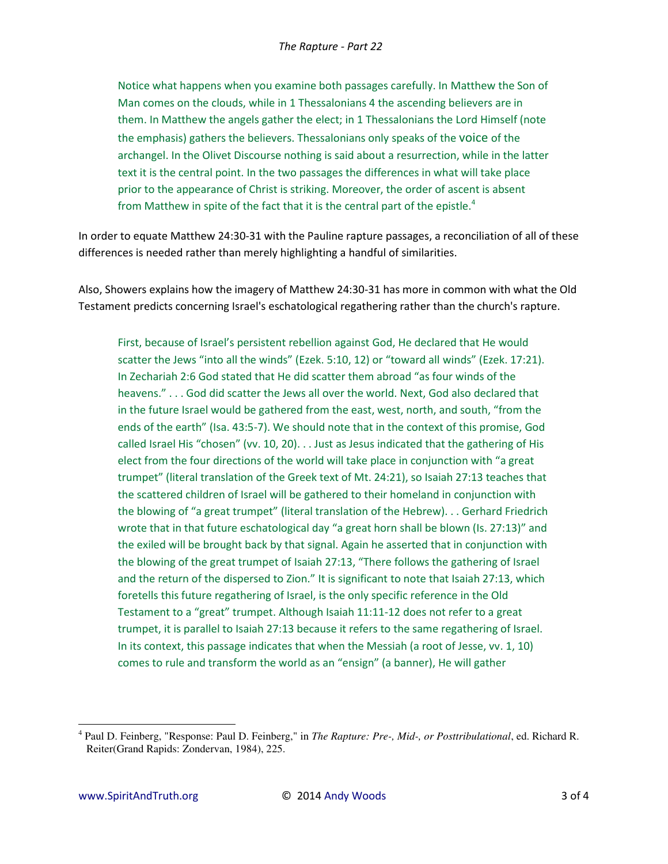Notice what happens when you examine both passages carefully. In Matthew the Son of Man comes on the clouds, while in 1 Thessalonians 4 the ascending believers are in them. In Matthew the angels gather the elect; in 1 Thessalonians the Lord Himself (note the emphasis) gathers the believers. Thessalonians only speaks of the voice of the archangel. In the Olivet Discourse nothing is said about a resurrection, while in the latter text it is the central point. In the two passages the differences in what will take place prior to the appearance of Christ is striking. Moreover, the order of ascent is absent from Matthew in spite of the fact that it is the central part of the epistle.<sup>4</sup>

In order to equate Matthew 24:30-31 with the Pauline rapture passages, a reconciliation of all of these differences is needed rather than merely highlighting a handful of similarities.

Also, Showers explains how the imagery of Matthew 24:30-31 has more in common with what the Old Testament predicts concerning Israel's eschatological regathering rather than the church's rapture.

First, because of Israel's persistent rebellion against God, He declared that He would scatter the Jews "into all the winds" (Ezek. 5:10, 12) or "toward all winds" (Ezek. 17:21). In Zechariah 2:6 God stated that He did scatter them abroad "as four winds of the heavens." . . . God did scatter the Jews all over the world. Next, God also declared that in the future Israel would be gathered from the east, west, north, and south, "from the ends of the earth" (Isa. 43:5-7). We should note that in the context of this promise, God called Israel His "chosen" (vv. 10, 20)... Just as Jesus indicated that the gathering of His elect from the four directions of the world will take place in conjunction with "a great trumpet" (literal translation of the Greek text of Mt. 24:21), so Isaiah 27:13 teaches that the scattered children of Israel will be gathered to their homeland in conjunction with the blowing of "a great trumpet" (literal translation of the Hebrew)... Gerhard Friedrich wrote that in that future eschatological day "a great horn shall be blown (Is. 27:13)" and the exiled will be brought back by that signal. Again he asserted that in conjunction with the blowing of the great trumpet of Isaiah 27:13, "There follows the gathering of Israel and the return of the dispersed to Zion." It is significant to note that Isaiah 27:13, which foretells this future regathering of Israel, is the only specific reference in the Old Testament to a "great" trumpet. Although Isaiah 11:11-12 does not refer to a great trumpet, it is parallel to Isaiah 27:13 because it refers to the same regathering of Israel. In its context, this passage indicates that when the Messiah (a root of Jesse, vv. 1, 10) comes to rule and transform the world as an "ensign" (a banner), He will gather

<sup>&</sup>lt;sup>4</sup> Paul D. Feinberg, "Response: Paul D. Feinberg," in The Rapture: Pre-, Mid-, or Posttribulational, ed. Richard R. Reiter(Grand Rapids: Zondervan, 1984), 225.